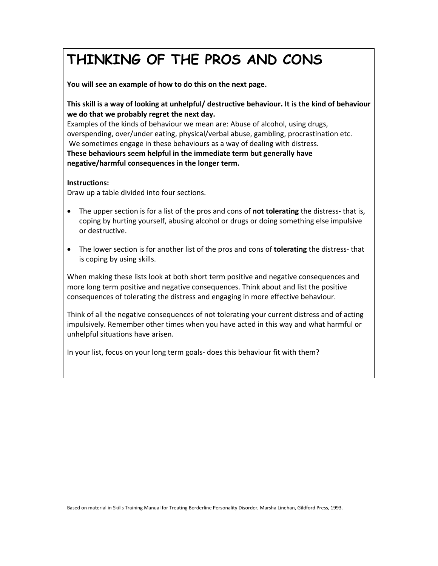# **THINKING OF THE PROS AND CONS**

**You will see an example of how to do this on the next page.** 

**This skill is a way of looking at unhelpful/ destructive behaviour. It is the kind of behaviour we do that we probably regret the next day.**

Examples of the kinds of behaviour we mean are: Abuse of alcohol, using drugs, overspending, over/under eating, physical/verbal abuse, gambling, procrastination etc. We sometimes engage in these behaviours as a way of dealing with distress. **These behaviours seem helpful in the immediate term but generally have negative/harmful consequences in the longer term.**

#### **Instructions:**

Draw up a table divided into four sections.

- The upper section is for a list of the pros and cons of **not tolerating** the distress‐ that is, coping by hurting yourself, abusing alcohol or drugs or doing something else impulsive or destructive.
- The lower section is for another list of the pros and cons of **tolerating** the distress‐ that is coping by using skills.

When making these lists look at both short term positive and negative consequences and more long term positive and negative consequences. Think about and list the positive consequences of tolerating the distress and engaging in more effective behaviour.

Think of all the negative consequences of not tolerating your current distress and of acting impulsively. Remember other times when you have acted in this way and what harmful or unhelpful situations have arisen.

In your list, focus on your long term goals‐ does this behaviour fit with them?

Based on material in Skills Training Manual for Treating Borderline Personality Disorder, Marsha Linehan, Gildford Press, 1993.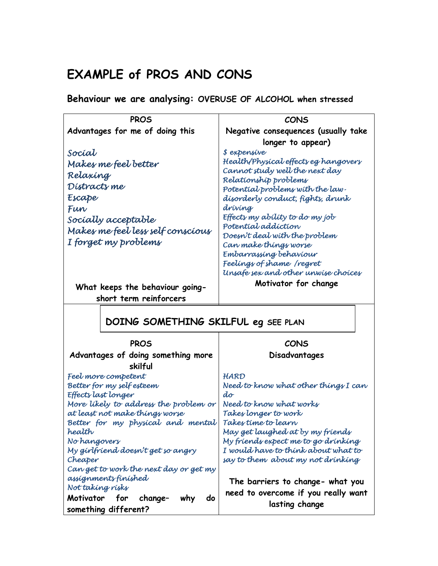## **EXAMPLE of PROS AND CONS**

**Behaviour we are analysing: OVERUSE OF ALCOHOL when stressed** 

| <b>PROS</b>                                                             | <b>CONS</b>                                                            |
|-------------------------------------------------------------------------|------------------------------------------------------------------------|
| Advantages for me of doing this                                         | Negative consequences (usually take                                    |
|                                                                         | longer to appear)                                                      |
| Socíat                                                                  | \$ expensive                                                           |
| Makes me feel better                                                    | Health/Physical effects eg hangovers<br>Cannot study well the next day |
| Relaxing                                                                | Relationship problems                                                  |
| Distracts me                                                            | Potential problems with the law-                                       |
| Escape                                                                  | disorderly conduct, fights, drunk                                      |
| Fun                                                                     | drívíng                                                                |
| Socially acceptable                                                     | Effects my ability to do my job                                        |
| Makes me feel less self conscious                                       | Potential addiction                                                    |
| I forget my problems                                                    | Doesn't deal with the problem<br>Can make things worse                 |
|                                                                         | Embarrassing behaviour                                                 |
|                                                                         | Feelings of shame /regret                                              |
|                                                                         | Unsafe sex and other unwise choices                                    |
| What keeps the behaviour going-                                         | Motivator for change                                                   |
| short term reinforcers                                                  |                                                                        |
|                                                                         |                                                                        |
| DOING SOMETHING SKILFUL eg SEE PLAN                                     |                                                                        |
| <b>PROS</b>                                                             | CONS                                                                   |
| Advantages of doing something more                                      | Disadvantages                                                          |
| skilful                                                                 |                                                                        |
| Feel more competent                                                     | HARD                                                                   |
| Better for my self esteem                                               | Need to know what other things I can                                   |
| Effects last longer                                                     | do                                                                     |
| More likely to address the problem or<br>at least not make things worse | Need to know what works<br>Takes longer to work                        |
| Better for my physical and mental                                       | Takes time to learn                                                    |
| health                                                                  | May get laughed at by my fríends                                       |
| No hangovers                                                            | My friends expect me to go drinking                                    |
| My girlfriend doesn't get so angry                                      | I would have to think about what to                                    |
| Cheaper                                                                 | say to them about my not drinking                                      |
| Can get to work the next day or get my                                  |                                                                        |
| assignments finished<br>Not taking risks                                | The barriers to change- what you                                       |
| Motivator<br><b>for</b><br>change-<br>do<br>why                         | need to overcome if you really want                                    |
| something different?                                                    | lasting change                                                         |
|                                                                         |                                                                        |